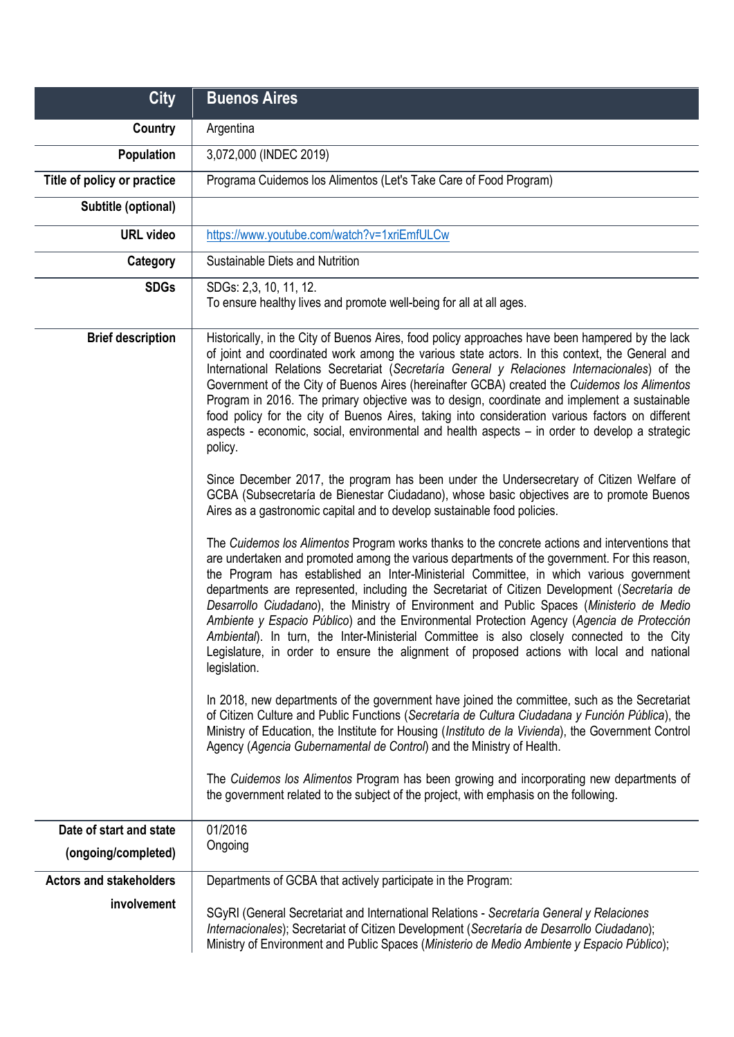| <b>City</b>                    | <b>Buenos Aires</b>                                                                                                                                                                                                                                                                                                                                                                                                                                                                                                                                                                                                                                                                                                                                                                                                                                                                                                                                                                                                                                                                                                                                                                                                                                                                                                                                                                                                                                                                                                                                                                                                                                                                                                                                                          |
|--------------------------------|------------------------------------------------------------------------------------------------------------------------------------------------------------------------------------------------------------------------------------------------------------------------------------------------------------------------------------------------------------------------------------------------------------------------------------------------------------------------------------------------------------------------------------------------------------------------------------------------------------------------------------------------------------------------------------------------------------------------------------------------------------------------------------------------------------------------------------------------------------------------------------------------------------------------------------------------------------------------------------------------------------------------------------------------------------------------------------------------------------------------------------------------------------------------------------------------------------------------------------------------------------------------------------------------------------------------------------------------------------------------------------------------------------------------------------------------------------------------------------------------------------------------------------------------------------------------------------------------------------------------------------------------------------------------------------------------------------------------------------------------------------------------------|
| Country                        | Argentina                                                                                                                                                                                                                                                                                                                                                                                                                                                                                                                                                                                                                                                                                                                                                                                                                                                                                                                                                                                                                                                                                                                                                                                                                                                                                                                                                                                                                                                                                                                                                                                                                                                                                                                                                                    |
| Population                     | 3,072,000 (INDEC 2019)                                                                                                                                                                                                                                                                                                                                                                                                                                                                                                                                                                                                                                                                                                                                                                                                                                                                                                                                                                                                                                                                                                                                                                                                                                                                                                                                                                                                                                                                                                                                                                                                                                                                                                                                                       |
| Title of policy or practice    | Programa Cuidemos los Alimentos (Let's Take Care of Food Program)                                                                                                                                                                                                                                                                                                                                                                                                                                                                                                                                                                                                                                                                                                                                                                                                                                                                                                                                                                                                                                                                                                                                                                                                                                                                                                                                                                                                                                                                                                                                                                                                                                                                                                            |
| Subtitle (optional)            |                                                                                                                                                                                                                                                                                                                                                                                                                                                                                                                                                                                                                                                                                                                                                                                                                                                                                                                                                                                                                                                                                                                                                                                                                                                                                                                                                                                                                                                                                                                                                                                                                                                                                                                                                                              |
| <b>URL video</b>               | https://www.youtube.com/watch?v=1xriEmfULCw                                                                                                                                                                                                                                                                                                                                                                                                                                                                                                                                                                                                                                                                                                                                                                                                                                                                                                                                                                                                                                                                                                                                                                                                                                                                                                                                                                                                                                                                                                                                                                                                                                                                                                                                  |
| Category                       | Sustainable Diets and Nutrition                                                                                                                                                                                                                                                                                                                                                                                                                                                                                                                                                                                                                                                                                                                                                                                                                                                                                                                                                                                                                                                                                                                                                                                                                                                                                                                                                                                                                                                                                                                                                                                                                                                                                                                                              |
| <b>SDGs</b>                    | SDGs: 2,3, 10, 11, 12.<br>To ensure healthy lives and promote well-being for all at all ages.                                                                                                                                                                                                                                                                                                                                                                                                                                                                                                                                                                                                                                                                                                                                                                                                                                                                                                                                                                                                                                                                                                                                                                                                                                                                                                                                                                                                                                                                                                                                                                                                                                                                                |
| <b>Brief description</b>       | Historically, in the City of Buenos Aires, food policy approaches have been hampered by the lack<br>of joint and coordinated work among the various state actors. In this context, the General and<br>International Relations Secretariat (Secretaria General y Relaciones Internacionales) of the<br>Government of the City of Buenos Aires (hereinafter GCBA) created the Cuidemos los Alimentos<br>Program in 2016. The primary objective was to design, coordinate and implement a sustainable<br>food policy for the city of Buenos Aires, taking into consideration various factors on different<br>aspects - economic, social, environmental and health aspects – in order to develop a strategic<br>policy.<br>Since December 2017, the program has been under the Undersecretary of Citizen Welfare of<br>GCBA (Subsecretaría de Bienestar Ciudadano), whose basic objectives are to promote Buenos<br>Aires as a gastronomic capital and to develop sustainable food policies.<br>The Cuidemos los Alimentos Program works thanks to the concrete actions and interventions that<br>are undertaken and promoted among the various departments of the government. For this reason,<br>the Program has established an Inter-Ministerial Committee, in which various government<br>departments are represented, including the Secretariat of Citizen Development (Secretaria de<br>Desarrollo Ciudadano), the Ministry of Environment and Public Spaces (Ministerio de Medio<br>Ambiente y Espacio Público) and the Environmental Protection Agency (Agencia de Protección<br>Ambiental). In turn, the Inter-Ministerial Committee is also closely connected to the City<br>Legislature, in order to ensure the alignment of proposed actions with local and national |
|                                | legislation.<br>In 2018, new departments of the government have joined the committee, such as the Secretariat<br>of Citizen Culture and Public Functions (Secretaría de Cultura Ciudadana y Función Pública), the<br>Ministry of Education, the Institute for Housing (Instituto de la Vivienda), the Government Control<br>Agency (Agencia Gubernamental de Control) and the Ministry of Health.<br>The Cuidemos los Alimentos Program has been growing and incorporating new departments of                                                                                                                                                                                                                                                                                                                                                                                                                                                                                                                                                                                                                                                                                                                                                                                                                                                                                                                                                                                                                                                                                                                                                                                                                                                                                |
|                                | the government related to the subject of the project, with emphasis on the following.                                                                                                                                                                                                                                                                                                                                                                                                                                                                                                                                                                                                                                                                                                                                                                                                                                                                                                                                                                                                                                                                                                                                                                                                                                                                                                                                                                                                                                                                                                                                                                                                                                                                                        |
| Date of start and state        | 01/2016                                                                                                                                                                                                                                                                                                                                                                                                                                                                                                                                                                                                                                                                                                                                                                                                                                                                                                                                                                                                                                                                                                                                                                                                                                                                                                                                                                                                                                                                                                                                                                                                                                                                                                                                                                      |
| (ongoing/completed)            | Ongoing                                                                                                                                                                                                                                                                                                                                                                                                                                                                                                                                                                                                                                                                                                                                                                                                                                                                                                                                                                                                                                                                                                                                                                                                                                                                                                                                                                                                                                                                                                                                                                                                                                                                                                                                                                      |
| <b>Actors and stakeholders</b> | Departments of GCBA that actively participate in the Program:                                                                                                                                                                                                                                                                                                                                                                                                                                                                                                                                                                                                                                                                                                                                                                                                                                                                                                                                                                                                                                                                                                                                                                                                                                                                                                                                                                                                                                                                                                                                                                                                                                                                                                                |
| involvement                    | SGyRI (General Secretariat and International Relations - Secretaría General y Relaciones<br>Internacionales); Secretariat of Citizen Development (Secretaría de Desarrollo Ciudadano);<br>Ministry of Environment and Public Spaces (Ministerio de Medio Ambiente y Espacio Público);                                                                                                                                                                                                                                                                                                                                                                                                                                                                                                                                                                                                                                                                                                                                                                                                                                                                                                                                                                                                                                                                                                                                                                                                                                                                                                                                                                                                                                                                                        |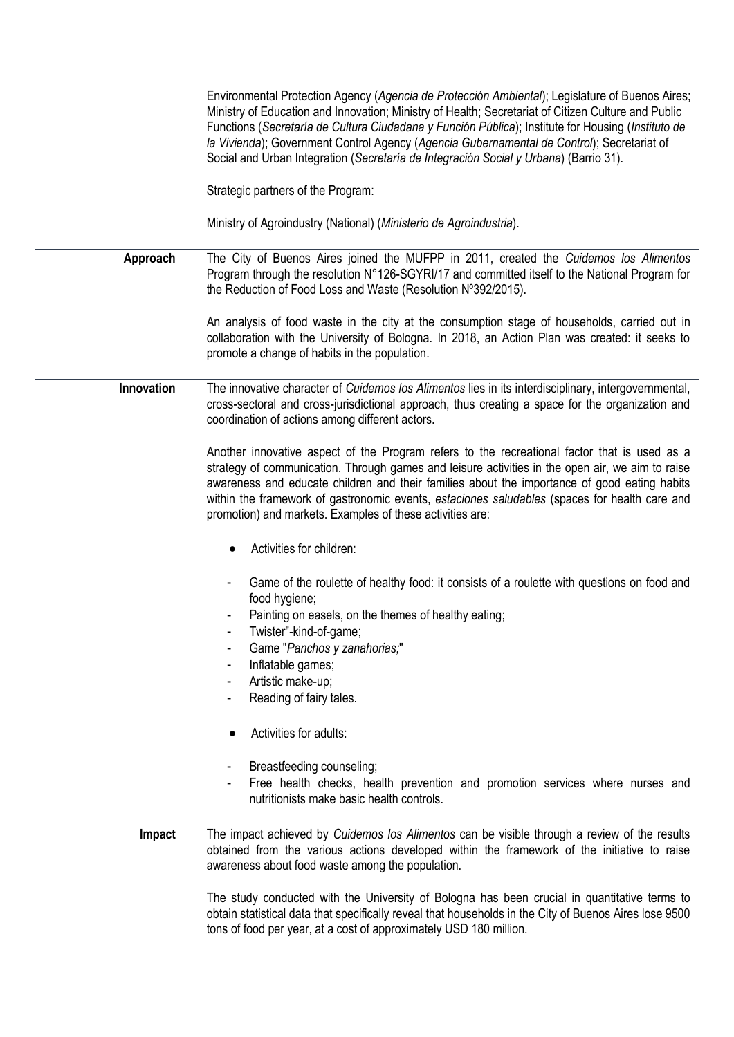|            | Environmental Protection Agency (Agencia de Protección Ambiental); Legislature of Buenos Aires;<br>Ministry of Education and Innovation; Ministry of Health; Secretariat of Citizen Culture and Public<br>Functions (Secretaría de Cultura Ciudadana y Función Pública); Institute for Housing (Instituto de<br>la Vivienda); Government Control Agency (Agencia Gubernamental de Control); Secretariat of<br>Social and Urban Integration (Secretaría de Integración Social y Urbana) (Barrio 31).<br>Strategic partners of the Program: |
|------------|-------------------------------------------------------------------------------------------------------------------------------------------------------------------------------------------------------------------------------------------------------------------------------------------------------------------------------------------------------------------------------------------------------------------------------------------------------------------------------------------------------------------------------------------|
|            | Ministry of Agroindustry (National) (Ministerio de Agroindustria).                                                                                                                                                                                                                                                                                                                                                                                                                                                                        |
| Approach   | The City of Buenos Aires joined the MUFPP in 2011, created the Cuidemos los Alimentos<br>Program through the resolution N°126-SGYRI/17 and committed itself to the National Program for<br>the Reduction of Food Loss and Waste (Resolution N°392/2015).                                                                                                                                                                                                                                                                                  |
|            | An analysis of food waste in the city at the consumption stage of households, carried out in<br>collaboration with the University of Bologna. In 2018, an Action Plan was created: it seeks to<br>promote a change of habits in the population.                                                                                                                                                                                                                                                                                           |
| Innovation | The innovative character of Cuidemos los Alimentos lies in its interdisciplinary, intergovernmental,<br>cross-sectoral and cross-jurisdictional approach, thus creating a space for the organization and<br>coordination of actions among different actors.                                                                                                                                                                                                                                                                               |
|            | Another innovative aspect of the Program refers to the recreational factor that is used as a<br>strategy of communication. Through games and leisure activities in the open air, we aim to raise<br>awareness and educate children and their families about the importance of good eating habits<br>within the framework of gastronomic events, estaciones saludables (spaces for health care and<br>promotion) and markets. Examples of these activities are:                                                                            |
|            | Activities for children:                                                                                                                                                                                                                                                                                                                                                                                                                                                                                                                  |
|            | Game of the roulette of healthy food: it consists of a roulette with questions on food and<br>food hygiene;<br>Painting on easels, on the themes of healthy eating;<br>Twister"-kind-of-game;<br>Game "Panchos y zanahorias;"<br>Inflatable games;<br>Artistic make-up;                                                                                                                                                                                                                                                                   |
|            | Reading of fairy tales.                                                                                                                                                                                                                                                                                                                                                                                                                                                                                                                   |
|            | Activities for adults:                                                                                                                                                                                                                                                                                                                                                                                                                                                                                                                    |
|            | Breastfeeding counseling;<br>Free health checks, health prevention and promotion services where nurses and<br>nutritionists make basic health controls.                                                                                                                                                                                                                                                                                                                                                                                   |
| Impact     | The impact achieved by Cuidemos los Alimentos can be visible through a review of the results<br>obtained from the various actions developed within the framework of the initiative to raise<br>awareness about food waste among the population.                                                                                                                                                                                                                                                                                           |
|            | The study conducted with the University of Bologna has been crucial in quantitative terms to<br>obtain statistical data that specifically reveal that households in the City of Buenos Aires lose 9500<br>tons of food per year, at a cost of approximately USD 180 million.                                                                                                                                                                                                                                                              |